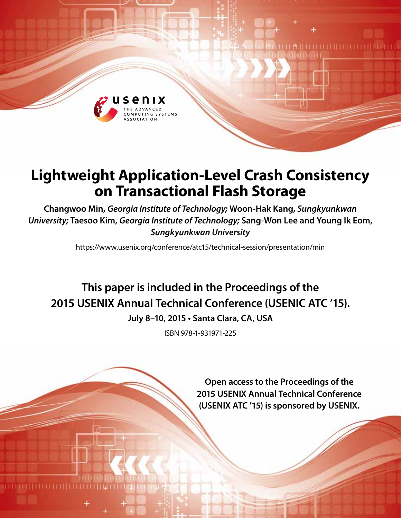

## **Lightweight Application-Level Crash Consistency on Transactional Flash Storage**

**Changwoo Min,** *Georgia Institute of Technology;* **Woon-Hak Kang,** *Sungkyunkwan University;* **Taesoo Kim,** *Georgia Institute of Technology;* **Sang-Won Lee and Young Ik Eom,**  *Sungkyunkwan University*

https://www.usenix.org/conference/atc15/technical-session/presentation/min

# **This paper is included in the Proceedings of the 2015 USENIX Annual Technical Conference (USENIC ATC '15).**

**July 8–10, 2015 • Santa Clara, CA, USA**

ISBN 978-1-931971-225

**Open access to the Proceedings of the 2015 USENIX Annual Technical Conference (USENIX ATC '15) is sponsored by USENIX.**

**THEFTHEFTH**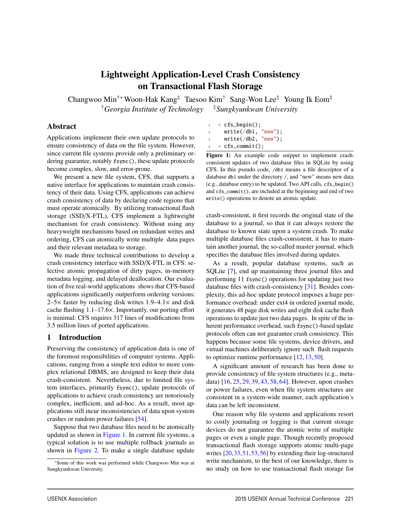## Lightweight Application-Level Crash Consistency on Transactional Flash Storage

Changwoo Min†∗ Woon-Hak Kang‡ Taesoo Kim† Sang-Won Lee‡ Young Ik Eom‡ †*Georgia Institute of Technology* ‡*Sungkyunkwan University*

#### Abstract

Applications implement their own update protocols to ensure consistency of data on the file system. However, since current file systems provide only a preliminary ordering guarantee, notably fsync(), these update protocols become complex, slow, and error-prone.

We present a new file system, CFS, that supports a native interface for applications to maintain crash consistency of their data. Using CFS, applications can achieve crash consistency of data by declaring code regions that must operate atomically. By utilizing transactional flash storage (SSD/X-FTL), CFS implement a lightweight mechanism for crash consistency. Without using any heavyweight mechanisms based on redundant writes and ordering, CFS can atomically write multiple data pages and their relevant metadata to storage.

We made three technical contributions to develop a crash consistency interface with SSD/X-FTL in CFS: selective atomic propagation of dirty pages, in-memory metadata logging, and delayed deallocation. Our evaluation of five real-world applications shows that CFS-based applications significantly outperform ordering versions:  $2-5x$  faster by reducing disk writes  $1.9-4.1x$  and disk cache flushing 1.1–17.6×. Importantly, our porting effort is minimal: CFS requires 317 lines of modifications from 3.5 million lines of ported applications.

#### 1 Introduction

Preserving the consistency of application data is one of the foremost responsibilities of computer systems. Applications, ranging from a simple text editor to more complex relational DBMS, are designed to keep their data crash-consistent. Nevertheless, due to limited file system interfaces, primarily fsync(), update protocols of applications to achieve crash consistency are notoriously complex, inefficient, and ad-hoc. As a result, most applications still incur inconsistencies of data upon system crashes or random power failures [54].

Suppose that two database files need to be atomically updated as shown in Figure 1. In current file systems, a typical solution is to use multiple rollback journals as shown in Figure 2. To make a single database update

|                         | $+ cfs_b$ egin();                                       |
|-------------------------|---------------------------------------------------------|
| <sup>2</sup>            | write('db1 "new");                                      |
| $\overline{\mathbf{3}}$ | $write('db2, "new")$ ;                                  |
|                         | $\sim$ $\sim$ $\sim$ $\sim$ $\sim$ $\sim$ $\sim$ $\sim$ |

 $+$  cfs\_commit();

Figure 1: An example code snippet to implement crashconsistent updates of two database files in SQLite by using CFS. In this pseudo code, /db1 means a file descriptor of a database db1 under the directory /, and "new" means new data (e.g., database entry) to be updated. Two API calls, cfs\_begin() and cfs\_commit(), are included at the beginning and end of two write() operations to denote an atomic update.

crash-consistent, it first records the original state of the database to a journal, so that it can always restore the database to known state upon a system crash. To make multiple database files crash-consistent, it has to maintain another journal, the so-called master journal, which specifies the database files involved during updates.

As a result, popular database systems, such as SQLite [7], end up maintaining three journal files and performing 11 fsync() operations for updating just two database files with crash-consistency [31]. Besides complexity, this ad-hoc update protocol imposes a huge performance overhead: under ext4 in ordered journal mode, it generates 48 page disk writes and eight disk cache flush operations to update just two data pages. In spite of the inherent performance overhead, such fsync()-based update protocols often can not guarantee crash consistency. This happens because some file systems, device drivers, and virtual machines deliberately ignore such flush requests to optimize runtime performance [12, 13, 50].

A significant amount of research has been done to provide consistency of file system structures (e.g., metadata) [16, 25, 29, 39, 43, 58, 64]. However, upon crashes or power failures, even when file system structures are consistent in a system-wide manner, each application's data can be left inconsistent.

One reason why file systems and applications resort to costly journaling or logging is that current storage devices do not guarantee the atomic write of multiple pages or even a single page. Though recently proposed transactional flash storage supports atomic multi-page writes [20,33,51,53,56] by extending their log-structured write mechanism, to the best of our knowledge, there is no study on how to use transactional flash storage for

<sup>∗</sup>Some of this work was performed while Changwoo Min was at Sungkyunkwan University.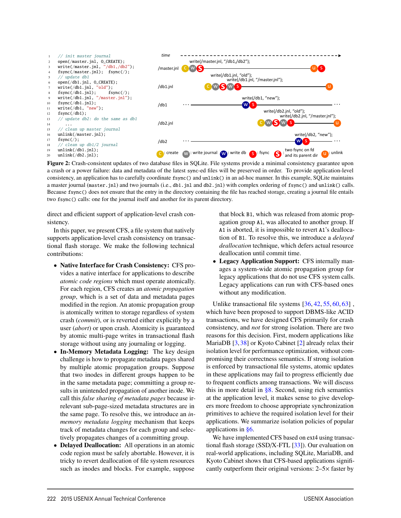

Figure 2: Crash-consistent updates of two database files in SQLite. File systems provide a minimal consistency guarantee upon a crash or a power failure: data and metadata of the latest sync-ed files will be preserved in order. To provide application-level consistency, an application has to carefully coordinate fsync() and unlink() in an ad-hoc manner. In this example, SQLite maintains a master journal (master.jnl) and two journals (i.e., db1.jnl and db2.jnl) with complex ordering of fsync() and unlink() calls. Because fsync() does not ensure that the entry in the directory containing the file has reached storage, creating a journal file entails two fsync() calls: one for the journal itself and another for its parent directory.

2

direct and efficient support of application-level crash consistency.

In this paper, we present CFS, a file system that natively supports application-level crash consistency on transactional flash storage. We make the following technical contributions:

- Native Interface for Crash Consistency: CFS provides a native interface for applications to describe *atomic code regions* which must operate atomically. For each region, CFS creates an *atomic propagation group*, which is a set of data and metadata pages modified in the region. An atomic propagation group is atomically written to storage regardless of system crash (*commit*), or is reverted either explicitly by a user (*abort*) or upon crash. Atomicity is guaranteed by atomic multi-page writes in transactional flash storage without using any journaling or logging.
- In-Memory Metadata Logging: The key design challenge is how to propagate metadata pages shared by multiple atomic propagation groups. Suppose that two inodes in different groups happen to be in the same metadata page; committing a group results in unintended propagation of another inode. We call this *false sharing of metadata pages* because irrelevant sub-page-sized metadata structures are in the same page. To resolve this, we introduce an *inmemory metadata logging* mechanism that keeps track of metadata changes for each group and selectively propagates changes of a committing group.
- Delayed Deallocation: All operations in an atomic code region must be safely abortable. However, it is tricky to revert deallocation of file system resources such as inodes and blocks. For example, suppose

that block B1, which was released from atomic propagation group A1, was allocated to another group. If A1 is aborted, it is impossible to revert A1's deallocation of B1. To resolve this, we introduce a *delayed deallocation* technique, which defers actual resource deallocation until commit time.

• Legacy Application Support: CFS internally manages a system-wide atomic propagation group for legacy applications that do not use CFS system calls. Legacy applications can run with CFS-based ones without any modification.

Unlike transactional file systems [36, 42, 55, 60, 63]. which have been proposed to support DBMS-like ACID transactions, we have designed CFS primarily for crash consistency, and *not* for strong isolation. There are two reasons for this decision. First, modern applications like MariaDB [3, 38] or Kyoto Cabinet [2] already relax their isolation level for performance optimization, without compromising their correctness semantics. If strong isolation is enforced by transactional file systems, atomic updates in these applications may fail to progress efficiently due to frequent conflicts among transactions. We will discuss this in more detail in  $\S 8$ . Second, using rich semantics at the application level, it makes sense to give developers more freedom to choose appropriate synchronization primitives to achieve the required isolation level for their applications. We summarize isolation policies of popular applications in §6.

We have implemented CFS based on ext4 using transactional flash storage (SSD/X-FTL [33]). Our evaluation on real-world applications, including SQLite, MariaDB, and Kyoto Cabinet shows that CFS-based applications significantly outperform their original versions:  $2-5\times$  faster by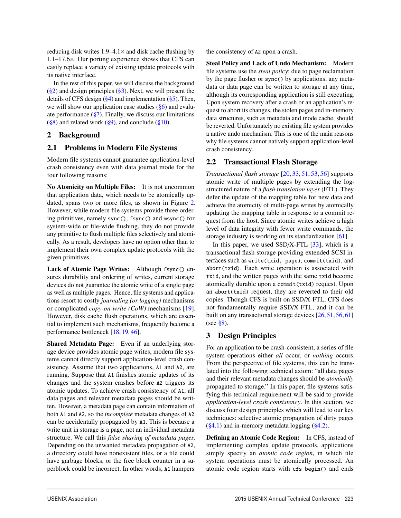reducing disk writes  $1.9-4.1\times$  and disk cache flushing by 1.1–17.6×. Our porting experience shows that CFS can easily replace a variety of existing update protocols with its native interface.

In the rest of this paper, we will discuss the background  $(\frac{8}{2})$  and design principles  $(\frac{8}{3})$ . Next, we will present the details of CFS design  $(\frac{6}{4})$  and implementation  $(\frac{6}{5})$ . Then, we will show our application case studies  $(\S6)$  and evaluate performance  $(\frac{8}{3})$ . Finally, we discuss our limitations  $(\S 8)$  and related work  $(\S 9)$ , and conclude  $(\S 10)$ .

## 2 Background

#### 2.1 Problems in Modern File Systems

Modern file systems cannot guarantee application-level crash consistency even with data journal mode for the four following reasons:

No Atomicity on Multiple Files: It is not uncommon that application data, which needs to be atomically updated, spans two or more files, as shown in Figure 2. However, while modern file systems provide three ordering primitives, namely sync(), fsync() and msync() for system-wide or file-wide flushing, they do not provide any primitive to flush multiple files selectively and atomically. As a result, developers have no option other than to implement their own complex update protocols with the given primitives.

Lack of Atomic Page Writes: Although fsync() ensures durability and ordering of writes, current storage devices do not guarantee the atomic write of a single page as well as multiple pages. Hence, file systems and applications resort to costly *journaling (or logging)* mechanisms or complicated *copy-on-write (CoW)* mechanisms [19]. However, disk cache flush operations, which are essential to implement such mechanisms, frequently become a performance bottleneck [18, 19, 46].

Shared Metadata Page: Even if an underlying storage device provides atomic page writes, modern file systems cannot directly support application-level crash consistency. Assume that two applications, A1 and A2, are running. Suppose that A1 finishes atomic updates of its changes and the system crashes before A2 triggers its atomic updates. To achieve crash consistency of A1, all data pages and relevant metadata pages should be written. However, a metadata page can contain information of both A1 and A2, so the *incomplete* metadata changes of A2 can be accidentally propagated by A1. This is because a write unit in storage is a page, not an individual metadata structure. We call this *false sharing of metadata pages*. Depending on the unwanted metadata propagation of A2, a directory could have nonexistent files, or a file could have garbage blocks, or the free block counter in a superblock could be incorrect. In other words, A1 hampers

the consistency of A2 upon a crash.

Steal Policy and Lack of Undo Mechanism: Modern file systems use the *steal policy*: due to page reclamation by the page flusher or sync() by applications, any metadata or data page can be written to storage at any time, although its corresponding application is still executing. Upon system recovery after a crash or an application's request to abort its changes, the stolen pages and in-memory data structures, such as metadata and inode cache, should be reverted. Unfortunately no existing file system provides a native undo mechanism. This is one of the main reasons why file systems cannot natively support application-level crash consistency.

#### 2.2 Transactional Flash Storage

*Transactional flash storage* [20, 33, 51, 53, 56] supports atomic write of multiple pages by extending the logstructured nature of a *flash translation layer* (FTL). They defer the update of the mapping table for new data and achieve the atomicity of multi-page writes by atomically updating the mapping table in response to a commit request from the host. Since atomic writes achieve a high level of data integrity with fewer write commands, the storage industry is working on its standardization [61].

In this paper, we used  $SSD/X-FTL$  [33], which is a transactional flash storage providing extended SCSI interfaces such as write(txid, page), commit(txid), and abort(txid). Each write operation is associated with txid, and the written pages with the same txid become atomically durable upon a commit(txid) request. Upon an abort(txid) request, they are reverted to their old copies. Though CFS is built on SSD/X-FTL, CFS does not fundamentally require SSD/X-FTL, and it can be built on any transactional storage devices [26, 51, 56, 61] (see  $\S 8$ ).

## 3 Design Principles

3

For an application to be crash-consistent, a series of file system operations either *all* occur, or *nothing* occurs. From the perspective of file systems, this can be translated into the following technical axiom: "all data pages and their relevant metadata changes should be *atomically* propagated to storage." In this paper, file systems satisfying this technical requirement will be said to provide *application-level crash consistency*. In this section, we discuss four design principles which will lead to our key techniques: selective atomic propagation of dirty pages  $(\S 4.1)$  and in-memory metadata logging  $(\S 4.2)$ .

Defining an Atomic Code Region: In CFS, instead of implementing complex update protocols, applications simply specify an *atomic code region*, in which file system operations must be atomically processed. An atomic code region starts with cfs\_begin() and ends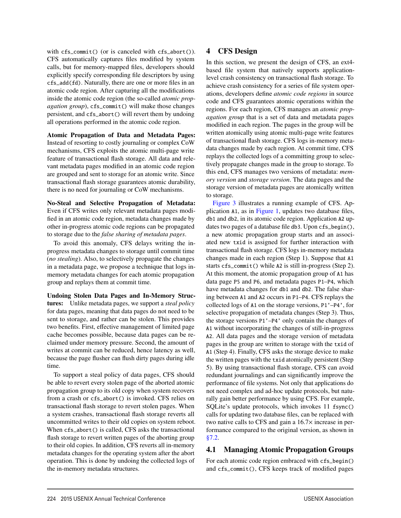with cfs\_commit() (or is canceled with cfs\_abort()). CFS automatically captures files modified by system calls, but for memory-mapped files, developers should explicitly specify corresponding file descriptors by using cfs\_add(fd). Naturally, there are one or more files in an atomic code region. After capturing all the modifications inside the atomic code region (the so-called *atomic propagation group*), cfs\_commit() will make those changes persistent, and cfs\_abort() will revert them by undoing all operations performed in the atomic code region.

Atomic Propagation of Data and Metadata Pages: Instead of resorting to costly journaling or complex CoW mechanisms, CFS exploits the atomic multi-page write feature of transactional flash storage. All data and relevant metadata pages modified in an atomic code region are grouped and sent to storage for an atomic write. Since transactional flash storage guarantees atomic durability, there is no need for journaling or CoW mechanisms.

No-Steal and Selective Propagation of Metadata: Even if CFS writes only relevant metadata pages modified in an atomic code region, metadata changes made by other in-progress atomic code regions can be propagated to storage due to the *false sharing of metadata pages*.

To avoid this anomaly, CFS delays writing the inprogress metadata changes to storage until commit time (*no stealing*). Also, to selectively propagate the changes in a metadata page, we propose a technique that logs inmemory metadata changes for each atomic propagation group and replays them at commit time.

Undoing Stolen Data Pages and In-Memory Structures: Unlike metadata pages, we support a *steal policy* for data pages, meaning that data pages do not need to be sent to storage, and rather can be stolen. This provides two benefits. First, effective management of limited page cache becomes possible, because data pages can be reclaimed under memory pressure. Second, the amount of writes at commit can be reduced, hence latency as well, because the page flusher can flush dirty pages during idle time.

To support a steal policy of data pages, CFS should be able to revert every stolen page of the aborted atomic propagation group to its old copy when system recovers from a crash or cfs\_abort() is invoked. CFS relies on transactional flash storage to revert stolen pages. When a system crashes, transactional flash storage reverts all uncommitted writes to their old copies on system reboot. When cfs\_abort() is called, CFS asks the transactional flash storage to revert written pages of the aborting group to their old copies. In addition, CFS reverts all in-memory metadata changes for the operating system after the abort operation. This is done by undoing the collected logs of the in-memory metadata structures.

## 4 CFS Design

In this section, we present the design of CFS, an ext4 based file system that natively supports applicationlevel crash consistency on transactional flash storage. To achieve crash consistency for a series of file system operations, developers define *atomic code regions* in source code and CFS guarantees atomic operations within the regions. For each region, CFS manages an *atomic propagation group* that is a set of data and metadata pages modified in each region. The pages in the group will be written atomically using atomic multi-page write features of transactional flash storage. CFS logs in-memory metadata changes made by each region. At commit time, CFS replays the collected logs of a committing group to selectively propagate changes made in the group to storage. To this end, CFS manages two versions of metadata: *memory version* and *storage version*. The data pages and the storage version of metadata pages are atomically written to storage.

Figure 3 illustrates a running example of CFS. Application A1, as in Figure 1, updates two database files, db1 and db2, in its atomic code region. Application A2 updates two pages of a database file db3. Upon cfs\_begin(), a new atomic propagation group starts and an associated new txid is assigned for further interaction with transactional flash storage. CFS logs in-memory metadata changes made in each region (Step 1). Suppose that A1 starts cfs\_commit() while A2 is still in-progress (Step 2). At this moment, the atomic propagation group of A1 has data page P5 and P6, and metadata pages P1–P4, which have metadata changes for db1 and db2. The false sharing between A1 and A2 occurs in P1–P4. CFS replays the collected logs of A1 on the storage versions, P1'–P4', for selective propagation of metadata changes (Step 3). Thus, the storage versions P1'–P4' only contain the changes of A1 without incorporating the changes of still-in-progress A2. All data pages and the storage version of metadata pages in the group are written to storage with the txid of A1 (Step 4). Finally, CFS asks the storage device to make the written pages with the txid atomically persistent (Step 5). By using transactional flash storage, CFS can avoid redundant journalings and can significantly improve the performance of file systems. Not only that applications do not need complex and ad-hoc update protocols, but naturally gain better performance by using CFS. For example, SQLite's update protocols, which invokes 11 fsync() calls for updating two database files, can be replaced with two native calls to CFS and gain a  $16.7\times$  increase in performance compared to the original version, as shown in §7.2.

## 4.1 Managing Atomic Propagation Groups

For each atomic code region embraced with cfs\_begin() and cfs\_commit(), CFS keeps track of modified pages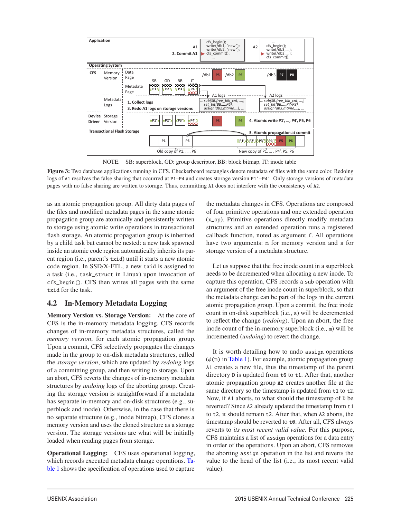

NOTE. SB: superblock, GD: group descriptor, BB: block bitmap, IT: inode table

Figure 3: Two database applications running in CFS. Checkerboard rectangles denote metadata of files with the same color. Redoing logs of A1 resolves the false sharing that occurred at P1–P4 and creates storage version P1'–P4'. Only storage versions of metadata pages with no false sharing are written to storage. Thus, committing A1 does not interfere with the consistency of A2.

5

as an atomic propagation group. All dirty data pages of the files and modified metadata pages in the same atomic propagation group are atomically and persistently written to storage using atomic write operations in transactional flash storage. An atomic propagation group is inherited by a child task but cannot be nested: a new task spawned inside an atomic code region automatically inherits its parent region (i.e., parent's txid) until it starts a new atomic code region. In SSD/X-FTL, a new txid is assigned to a task (i.e., task\_struct in Linux) upon invocation of cfs\_begin(). CFS then writes all pages with the same txid for the task.

## 4.2 In-Memory Metadata Logging

Memory Version vs. Storage Version: At the core of CFS is the in-memory metadata logging. CFS records changes of in-memory metadata structures, called the *memory version*, for each atomic propagation group. Upon a commit, CFS selectively propagates the changes made in the group to on-disk metadata structures, called the *storage version*, which are updated by *redoing* logs of a committing group, and then writing to storage. Upon an abort, CFS reverts the changes of in-memory metadata structures by *undoing* logs of the aborting group. Creating the storage version is straightforward if a metadata has separate in-memory and on-disk structures (e.g., superblock and inode). Otherwise, in the case that there is no separate structure (e.g., inode bitmap), CFS clones a memory version and uses the cloned structure as a storage version. The storage versions are what will be initially loaded when reading pages from storage.

Operational Logging: CFS uses operational logging, which records executed metadata change operations. Table 1 shows the specification of operations used to capture

the metadata changes in CFS. Operations are composed of four primitive operations and one extended operation (x\_op). Primitive operations directly modify metadata structures and an extended operation runs a registered callback function, noted as argument f. All operations have two arguments: m for memory version and s for storage version of a metadata structure.

Let us suppose that the free inode count in a superblock needs to be decremented when allocating a new inode. To capture this operation, CFS records a sub operation with an argument of the free inode count in superblock, so that the metadata change can be part of the logs in the current atomic propagation group. Upon a commit, the free inode count in on-disk superblock (i.e., s) will be decremented to reflect the change (*redoing*). Upon an abort, the free inode count of the in-memory superblock (i.e., m) will be incremented (*undoing*) to revert the change.

It is worth detailing how to undo assign operations  $(\phi(\mathfrak{m})$  in Table 1). For example, atomic propagation group A1 creates a new file, thus the timestamp of the parent directory D is updated from t0 to t1. After that, another atomic propagation group A2 creates another file at the same directory so the timestamp is updated from t1 to t2. Now, if A1 aborts, to what should the timestamp of D be reverted? Since A2 already updated the timestamp from t1 to t2, it should remain t2. After that, when A2 aborts, the timestamp should be reverted to t0. After all, CFS always reverts to *its most recent valid value*. For this purpose, CFS maintains a list of assign operations for a data entry in order of the operations. Upon an abort, CFS removes the aborting assign operation in the list and reverts the value to the head of the list (i.e., its most recent valid value).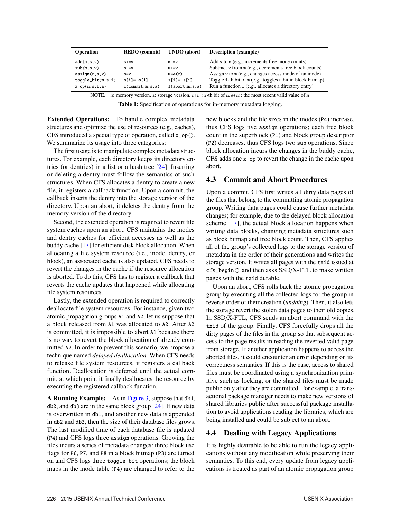| <b>Operation</b>     | <b>REDO</b> (commit)  | UNDO (abort)   | <b>Description</b> (example)                               |
|----------------------|-----------------------|----------------|------------------------------------------------------------|
| add(m,s,v)           | $S+=V$                | $m = v$        | Add $v$ to $m$ (e.g., increments free inode counts)        |
| sub(m,s,v)           | $S = V$               | $m+ = v$       | Subtract v from m (e.g., decrements free block counts)     |
| assign(m, s, v)      | $S=V$                 | $m = \phi(m)$  | Assign v to m (e.g., changes access mode of an inode)      |
| $toggle\_bit(m,s,i)$ | $s[i]=\neg s[i]$      | s[i]=¬s[i]     | Toggle i-th bit of m (e.g., toggles a bit in block bitmap) |
| $x_op(m,s,f,a)$      | $f$ (commit, m, s, a) | f(abort,m,s,a) | Run a function f (e.g., allocates a directory entry)       |

NOTE. m: memory version, s: storage version, m[i]: i-th bit of m, φ(m): the most recent valid value of m

Table 1: Specification of operations for in-memory metadata logging.

6

Extended Operations: To handle complex metadata structures and optimize the use of resources (e.g., caches), CFS introduced a special type of operation, called x\_op(). We summarize its usage into three categories:

The first usage is to manipulate complex metadata structures. For example, each directory keeps its directory entries (or dentries) in a list or a hash tree [24]. Inserting or deleting a dentry must follow the semantics of such structures. When CFS allocates a dentry to create a new file, it registers a callback function. Upon a commit, the callback inserts the dentry into the storage version of the directory. Upon an abort, it deletes the dentry from the memory version of the directory.

Second, the extended operation is required to revert file system caches upon an abort. CFS maintains the inodes and dentry caches for efficient accesses as well as the buddy cache [17] for efficient disk block allocation. When allocating a file system resource (i.e., inode, dentry, or block), an associated cache is also updated. CFS needs to revert the changes in the cache if the resource allocation is aborted. To do this, CFS has to register a callback that reverts the cache updates that happened while allocating file system resources.

Lastly, the extended operation is required to correctly deallocate file system resources. For instance, given two atomic propagation groups A1 and A2, let us suppose that a block released from A1 was allocated to A2. After A2 is committed, it is impossible to abort A1 because there is no way to revert the block allocation of already committed A2. In order to prevent this scenario, we propose a technique named *delayed deallocation*. When CFS needs to release file system resources, it registers a callback function. Deallocation is deferred until the actual commit, at which point it finally deallocates the resource by executing the registered callback function.

A Running Example: As in Figure 3, suppose that db1, db2, and db3 are in the same block group [24]. If new data is overwritten in db1, and another new data is appended in db2 and db3, then the size of their database files grows. The last modified time of each database file is updated (P4) and CFS logs three assign operations. Growing the files incurs a series of metadata changes: three block use flags for P6, P7, and P8 in a block bitmap (P3) are turned on and CFS logs three toggle\_bit operations; the block maps in the inode table (P4) are changed to refer to the

new blocks and the file sizes in the inodes (P4) increase, thus CFS logs five assign operations; each free block count in the superblock (P1) and block group descriptor (P2) decreases, thus CFS logs two sub operations. Since block allocation incurs the changes in the buddy cache, CFS adds one x\_op to revert the change in the cache upon abort.

#### 4.3 Commit and Abort Procedures

Upon a commit, CFS first writes all dirty data pages of the files that belong to the committing atomic propagation group. Writing data pages could cause further metadata changes; for example, due to the delayed block allocation scheme [17], the actual block allocation happens when writing data blocks, changing metadata structures such as block bitmap and free block count. Then, CFS applies all of the group's collected logs to the storage version of metadata in the order of their generations and writes the storage version. It writes all pages with the txid issued at cfs\_begin() and then asks SSD/X-FTL to make written pages with the txid durable.

Upon an abort, CFS rolls back the atomic propagation group by executing all the collected logs for the group in reverse order of their creation (*undoing*). Then, it also lets the storage revert the stolen data pages to their old copies. In SSD/X-FTL, CFS sends an abort command with the txid of the group. Finally, CFS forcefully drops all the dirty pages of the files in the group so that subsequent access to the page results in reading the reverted valid page from storage. If another application happens to access the aborted files, it could encounter an error depending on its correctness semantics. If this is the case, access to shared files must be coordinated using a synchronization primitive such as locking, or the shared files must be made public only after they are committed. For example, a transactional package manager needs to make new versions of shared libraries public after successful package installation to avoid applications reading the libraries, which are being installed and could be subject to an abort.

## 4.4 Dealing with Legacy Applications

It is highly desirable to be able to run the legacy applications without any modification while preserving their semantics. To this end, every update from legacy applications is treated as part of an atomic propagation group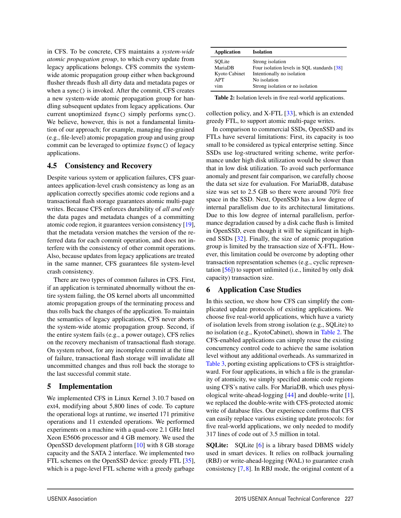in CFS. To be concrete, CFS maintains a *system-wide atomic propagation group*, to which every update from legacy applications belongs. CFS commits the systemwide atomic propagation group either when background flusher threads flush all dirty data and metadata pages or when a sync() is invoked. After the commit, CFS creates a new system-wide atomic propagation group for handling subsequent updates from legacy applications. Our current unoptimized fsync() simply performs sync(). We believe, however, this is not a fundamental limitation of our approach; for example, managing fine-grained (e.g., file-level) atomic propagation group and using group commit can be leveraged to optimize fsync() of legacy applications.

#### 4.5 Consistency and Recovery

Despite various system or application failures, CFS guarantees application-level crash consistency as long as an application correctly specifies atomic code regions and a transactional flash storage guarantees atomic multi-page writes. Because CFS enforces durability of *all and only* the data pages and metadata changes of a committing atomic code region, it guarantees version consistency [19], that the metadata version matches the version of the referred data for each commit operation, and does not interfere with the consistency of other commit operations. Also, because updates from legacy applications are treated in the same manner, CFS guarantees file system-level crash consistency.

There are two types of common failures in CFS. First, if an application is terminated abnormally without the entire system failing, the OS kernel aborts all uncommitted atomic propagation groups of the terminating process and thus rolls back the changes of the application. To maintain the semantics of legacy applications, CFS never aborts the system-wide atomic propagation group. Second, if the entire system fails (e.g., a power outage), CFS relies on the recovery mechanism of transactional flash storage. On system reboot, for any incomplete commit at the time of failure, transactional flash storage will invalidate all uncommitted changes and thus roll back the storage to the last successful commit state.

#### 5 Implementation

We implemented CFS in Linux Kernel 3.10.7 based on ext4, modifying about 5,800 lines of code. To capture the operational logs at runtime, we inserted 171 primitive operations and 11 extended operations. We performed experiments on a machine with a quad-core 2.1 GHz Intel Xeon E5606 processor and 4 GB memory. We used the OpenSSD development platform [10] with 8 GB storage capacity and the SATA 2 interface. We implemented two FTL schemes on the OpenSSD device: greedy FTL [35], which is a page-level FTL scheme with a greedy garbage

| <b>Application</b> | <b>Isolation</b>                            |
|--------------------|---------------------------------------------|
| SOLite             | Strong isolation                            |
| MariaDB            | Four isolation levels in SOL standards [38] |
| Kyoto Cabinet      | Intentionally no isolation                  |
| APT                | No isolation                                |
| vim                | Strong isolation or no isolation            |

Table 2: Isolation levels in five real-world applications.

collection policy, and X-FTL [33], which is an extended greedy FTL, to support atomic multi-page writes.

In comparison to commercial SSDs, OpenSSD and its FTLs have several limitations: First, its capacity is too small to be considered as typical enterprise setting. Since SSDs use log-structured writing scheme, write performance under high disk utilization would be slower than that in low disk utilization. To avoid such performance anomaly and present fair comparison, we carefully choose the data set size for evaluation. For MariaDB, database size was set to 2.5 GB so there were around 70% free space in the SSD. Next, OpenSSD has a low degree of internal parallelism due to its architectural limitations. Due to this low degree of internal parallelism, performance degradation caused by a disk cache flush is limited in OpenSSD, even though it will be significant in highend SSDs [32]. Finally, the size of atomic propagation group is limited by the transaction size of X-FTL. However, this limitation could be overcome by adopting other transaction representation schemes (e.g., cyclic representation [56]) to support unlimited (i.e., limited by only disk capacity) transaction size.

#### 6 Application Case Studies

In this section, we show how CFS can simplify the complicated update protocols of existing applications. We choose five real-world applications, which have a variety of isolation levels from strong isolation (e.g., SQLite) to no isolation (e.g., KyotoCabinet), shown in Table 2. The CFS-enabled applications can simply reuse the existing concurrency control code to achieve the same isolation level without any additional overheads. As summarized in Table 3, porting existing applications to CFS is straightforward. For four applications, in which a file is the granularity of atomicity, we simply specified atomic code regions using CFS's native calls. For MariaDB, which uses physiological write-ahead-logging [44] and double-write [1], we replaced the double-write with CFS-protected atomic write of database files. Our experience confirms that CFS can easily replace various existing update protocols: for five real-world applications, we only needed to modify 317 lines of code out of 3.5 million in total.

**SQLite:** SQLite [6] is a library based DBMS widely used in smart devices. It relies on rollback journaling (RBJ) or write-ahead-logging (WAL) to guarantee crash consistency [7, 8]. In RBJ mode, the original content of a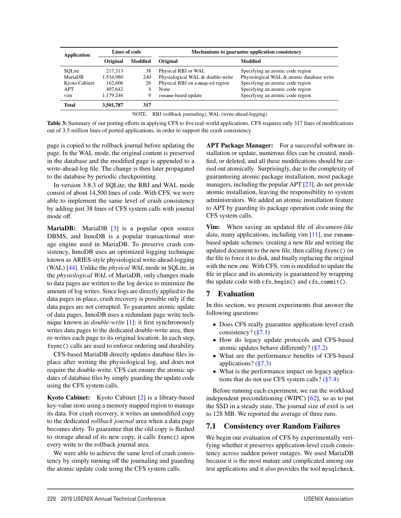| <b>Application</b> | Lines of code |                 | Mechanisms to guarantee application consistency |                                           |  |
|--------------------|---------------|-----------------|-------------------------------------------------|-------------------------------------------|--|
|                    | Original      | <b>Modified</b> | Original                                        | Modified                                  |  |
| SOLite             | 217,313       | 38              | Physical RBJ or WAL                             | Specifying an atomic code region          |  |
| MariaDB            | 1,534,980     | 240             | Physiological WAL & double-write                | Physiological WAL & atomic database write |  |
| Kyoto Cabinet      | 162,606       | 26              | Physical RBJ on a man-ed region                 | Specifying an atomic code region          |  |
| APT                | 407,642       |                 | None                                            | Specifying an atomic code region          |  |
| vim                | 1,179,246     | 9               | rename-based update                             | Specifying an atomic code region          |  |
| <b>Total</b>       | 3,501,787     | 317             |                                                 |                                           |  |

NOTE. RBJ (rollback journaling), WAL (write-ahead-logging)

Table 3: Summary of our porting efforts in applying CFS to five real-world applications. CFS requires only 317 lines of modifications out of 3.5 million lines of ported applications, in order to support the crash consistency.

page is copied to the rollback journal before updating the page. In the WAL mode, the original content is preserved in the database and the modified page is appended to a write-ahead-log file. The change is then later propagated to the database by periodic checkpointing.

In version 3.8.3 of SQLite, the RBJ and WAL mode consist of about 14,500 lines of code. With CFS, we were able to implement the same level of crash consistency by adding just 38 lines of CFS system calls with journal mode off.

MariaDB: MariaDB [3] is a popular open source DBMS, and InnoDB is a popular transactional storage engine used in MariaDB. To preserve crash consistency, InnoDB uses an optimized logging technique known as ARIES-style physiological write-ahead-logging (WAL) [44]. Unlike the *physical WAL* mode in SQLite, in the *physiological WAL* of MariaDB, only changes made to data pages are written to the log device to minimize the amount of log writes. Since logs are directly applied to the data pages in-place, crash recovery is possible only if the data pages are not corrupted. To guarantee atomic update of data pages, InnoDB uses a redundant page write technique known as *double-write* [1]: it first synchronously writes data pages to the dedicated double-write area, then re-writes each page to its original location. In each step, fsync() calls are used to enforce ordering and durability.

CFS-based MariaDB directly updates database files inplace after writing the physiological log, and does not require the double-write. CFS can ensure the atomic updates of database files by simply guarding the update code using the CFS system calls.

Kyoto Cabinet: Kyoto Cabinet [2] is a library-based key-value store using a memory mapped region to manage its data. For crash recovery, it writes an unmodified copy to the dedicated *rollback journal* area when a data page becomes dirty. To guarantee that the old copy is flushed to storage ahead of its new copy, it calls fsync() upon every write to the rollback journal area.

We were able to achieve the same level of crash consistency by simply turning off the journaling and guarding the atomic update code using the CFS system calls.

APT Package Manager: For a successful software installation or update, numerous files can be created, modified, or deleted, and all these modifications should be carried out atomically. Surprisingly, due to the complexity of guaranteeing atomic package installation, most package managers, including the popular APT [23], do not provide atomic installation, leaving the responsibility to system administrators. We added an atomic installation feature to APT by guarding its package operation code using the CFS system calls.

Vim: When saving an updated file of *document-like data*, many applications, including vim [11], use renamebased update schemes: creating a new file and writing the updated document to the new file, then calling fsync() on the file to force it to disk, and finally replacing the original with the new one. With CFS, vim is modified to update the file in place and its atomicity is guaranteed by wrapping the update code with cfs\_begin() and cfs\_commit().

#### 7 Evaluation

8

In this section, we present experiments that answer the following questions:

- Does CFS really guarantee application-level crash consistency?  $(\S7.1)$
- How do legacy update protocols and CFS-based atomic updates behave differently? (§7.2)
- What are the performance benefits of CFS-based applications? (§7.3)
- What is the performance impact on legacy applications that do not use CFS system calls? (§7.4)

Before running each experiment, we ran the workload independent preconditioning (WIPC) [62], so as to put the SSD in a steady state. The journal size of ext4 is set to 128 MB. We reported the average of three runs.

#### 7.1 Consistency over Random Failures

We begin our evaluation of CFS by experimentally verifying whether it preserves application-level crash consistency across sudden power outages. We used MariaDB because it is the most mature and complicated among our test applications and it also provides the tool mysqlcheck,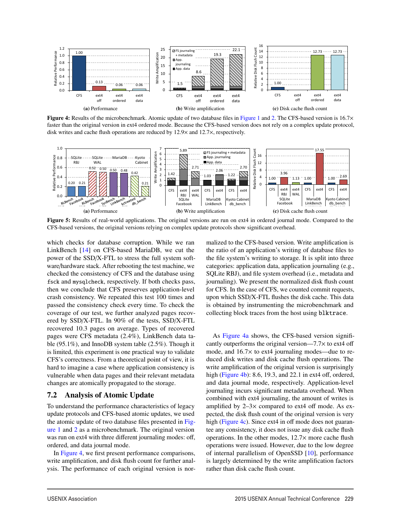

Figure 4: Results of the microbenchmark. Atomic update of two database files in Figure 1 and 2. The CFS-based version is 16.7× faster than the original version in ext4 ordered mode. Because the CFS-based version does not rely on a complex update protocol, disk writes and cache flush operations are reduced by 12.9× and 12.7×, respectively.



Figure 5: Results of real-world applications. The original versions are run on ext4 in ordered journal mode. Compared to the CFS-based versions, the original versions relying on complex update protocols show significant overhead.

9

which checks for database corruption. While we ran LinkBench [14] on CFS-based MariaDB, we cut the power of the SSD/X-FTL to stress the full system software/hardware stack. After rebooting the test machine, we checked the consistency of CFS and the database using fsck and mysqlcheck, respectively. If both checks pass, then we conclude that CFS preserves application-level crash consistency. We repeated this test 100 times and passed the consistency check every time. To check the coverage of our test, we further analyzed pages recovered by SSD/X-FTL. In 90% of the tests, SSD/X-FTL recovered 10.3 pages on average. Types of recovered pages were CFS metadata (2.4%), LinkBench data table (95.1%), and InnoDB system table (2.5%). Though it is limited, this experiment is one practical way to validate CFS's correctness. From a theoretical point of view, it is hard to imagine a case where application consistency is vulnerable when data pages and their relevant metadata changes are atomically propagated to the storage.

#### 7.2 Analysis of Atomic Update

To understand the performance characteristics of legacy update protocols and CFS-based atomic updates, we used the atomic update of two database files presented in Figure 1 and 2 as a microbenchmark. The original version was run on ext4 with three different journaling modes: off, ordered, and data journal mode.

In Figure 4, we first present performance comparisons, write amplification, and disk flush count for further analysis. The performance of each original version is normalized to the CFS-based version. Write amplification is the ratio of an application's writing of database files to the file system's writing to storage. It is split into three categories: application data, application journaling (e.g., SQLite RBJ), and file system overhead (i.e., metadata and journaling). We present the normalized disk flush count for CFS. In the case of CFS, we counted commit requests, upon which SSD/X-FTL flushes the disk cache. This data is obtained by instrumenting the microbenchmark and collecting block traces from the host using blktrace.

As Figure 4a shows, the CFS-based version significantly outperforms the original version— $7.7\times$  to ext4 off mode, and 16.7× to ext4 journaling modes—due to reduced disk writes and disk cache flush operations. The write amplification of the original version is surprisingly high (Figure 4b): 8.6, 19.3, and 22.1 in ext4 off, ordered, and data journal mode, respectively. Application-level journaling incurs significant metadata overhead. When combined with ext4 journaling, the amount of writes is amplified by  $2-3\times$  compared to ext4 off mode. As expected, the disk flush count of the original version is very high (Figure 4c). Since ext4 in off mode does not guarantee any consistency, it does not issue any disk cache flush operations. In the other modes,  $12.7\times$  more cache flush operations were issued. However, due to the low degree of internal parallelism of OpenSSD [10], performance is largely determined by the write amplification factors rather than disk cache flush count.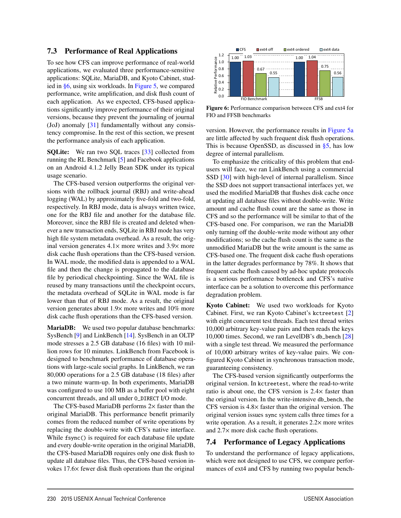#### 7.3 Performance of Real Applications

To see how CFS can improve performance of real-world applications, we evaluated three performance-sensitive applications: SQLite, MariaDB, and Kyoto Cabinet, studied in §6, using six workloads. In Figure 5, we compared performance, write amplification, and disk flush count of each application. As we expected, CFS-based applications significantly improve performance of their original versions, because they prevent the journaling of journal (JoJ) anomaly [31] fundamentally without any consistency compromise. In the rest of this section, we present the performance analysis of each application.

**SQLite:** We ran two SQL traces [33] collected from running the RL Benchmark [5] and Facebook applications on an Android 4.1.2 Jelly Bean SDK under its typical usage scenario.

The CFS-based version outperforms the original versions with the rollback journal (RBJ) and write-ahead logging (WAL) by approximately five-fold and two-fold, respectively. In RBJ mode, data is always written twice, one for the RBJ file and another for the database file. Moreover, since the RBJ file is created and deleted whenever a new transaction ends, SQLite in RBJ mode has very high file system metadata overhead. As a result, the original version generates  $4.1 \times$  more writes and  $3.9 \times$  more disk cache flush operations than the CFS-based version. In WAL mode, the modified data is appended to a WAL file and then the change is propagated to the database file by periodical checkpointing. Since the WAL file is reused by many transactions until the checkpoint occurs, the metadata overhead of SQLite in WAL mode is far lower than that of RBJ mode. As a result, the original version generates about 1.9× more writes and 10% more disk cache flush operations than the CFS-based version.

MariaDB: We used two popular database benchmarks: SysBench [9] and LinkBench [14]. SysBench in an OLTP mode stresses a 2.5 GB database (16 files) with 10 million rows for 10 minutes. LinkBench from Facebook is designed to benchmark performance of database operations with large-scale social graphs. In LinkBench, we ran 80,000 operations for a 2.5 GB database (18 files) after a two minute warm-up. In both experiments, MariaDB was configured to use 100 MB as a buffer pool with eight concurrent threads, and all under O\_DIRECT I/O mode.

The CFS-based MariaDB performs  $2\times$  faster than the original MariaDB. This performance benefit primarily comes from the reduced number of write operations by replacing the double-write with CFS's native interface. While fsync() is required for each database file update and every double-write operation in the original MariaDB, the CFS-based MariaDB requires only one disk flush to update all database files. Thus, the CFS-based version invokes 17.6× fewer disk flush operations than the original



Figure 6: Performance comparison between CFS and ext4 for FIO and FFSB benchmarks

version. However, the performance results in Figure 5a are little affected by such frequent disk flush operations. This is because OpenSSD, as discussed in  $\S$ 5, has low degree of internal parallelism.

To emphasize the criticality of this problem that endusers will face, we ran LinkBench using a commercial SSD [30] with high-level of internal parallelism. Since the SSD does not support transactional interfaces yet, we used the modified MariaDB that flushes disk cache once at updating all database files without double-write. Write amount and cache flush count are the same as those in CFS and so the performance will be similar to that of the CFS-based one. For comparison, we ran the MariaDB only turning off the double-write mode without any other modifications; so the cache flush count is the same as the unmodified MariaDB but the write amount is the same as CFS-based one. The frequent disk cache flush operations in the latter degrades performance by 78%. It shows that frequent cache flush caused by ad-hoc update protocols is a serious performance bottleneck and CFS's native interface can be a solution to overcome this performance degradation problem.

Kyoto Cabinet: We used two workloads for Kyoto Cabinet. First, we ran Kyoto Cabinet's kctreetest [2] with eight concurrent test threads. Each test thread writes 10,000 arbitrary key-value pairs and then reads the keys 10,000 times. Second, we ran LevelDB's db\_bench [28] with a single test thread. We measured the performance of 10,000 arbitrary writes of key-value pairs. We configured Kyoto Cabinet in synchronous transaction mode, guaranteeing consistency.

The CFS-based version significantly outperforms the original version. In kctreetest, where the read-to-write ratio is about one, the CFS version is 2.4× faster than the original version. In the write-intensive db\_bench, the CFS version is 4.8× faster than the original version. The original version issues sync system calls three times for a write operation. As a result, it generates  $2.2 \times$  more writes and 2.7× more disk cache flush operations.

#### 7.4 Performance of Legacy Applications

10

To understand the performance of legacy applications, which were not designed to use CFS, we compare performances of ext4 and CFS by running two popular bench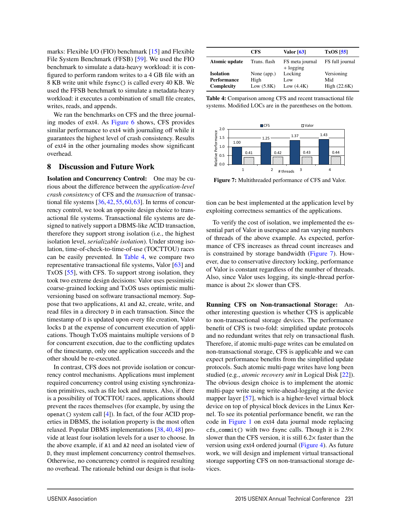marks: Flexible I/O (FIO) benchmark [15] and Flexible File System Benchmark (FFSB) [59]. We used the FIO benchmark to simulate a data-heavy workload: it is configured to perform random writes to a 4 GB file with an 8 KB write unit while fsync() is called every 40 KB. We used the FFSB benchmark to simulate a metadata-heavy workload: it executes a combination of small file creates, writes, reads, and appends.

We ran the benchmarks on CFS and the three journaling modes of ext4. As Figure 6 shows, CFS provides similar performance to ext4 with journaling off while it guarantees the highest level of crash consistency. Results of ext4 in the other journaling modes show significant overhead.

#### 8 Discussion and Future Work

Isolation and Concurrency Control: One may be curious about the difference between the *application-level crash consistency* of CFS and the *transaction* of transactional file systems  $[36, 42, 55, 60, 63]$ . In terms of concurrency control, we took an opposite design choice to transactional file systems. Transactional file systems are designed to natively support a DBMS-like ACID transaction, therefore they support strong isolation (i.e., the highest isolation level, *serializable isolation*). Under strong isolation, time-of-check-to-time-of-use (TOCTTOU) races can be easily prevented. In Table 4, we compare two representative transactional file systems, Valor [63] and TxOS [55], with CFS. To support strong isolation, they took two extreme design decisions: Valor uses pessimistic coarse-grained locking and TxOS uses optimistic multiversioning based on software transactional memory. Suppose that two applications, A1 and A2, create, write, and read files in a directory D in each transaction. Since the timestamp of D is updated upon every file creation, Valor locks D at the expense of concurrent execution of applications. Though TxOS maintains multiple versions of D for concurrent execution, due to the conflicting updates of the timestamp, only one application succeeds and the other should be re-executed.

In contrast, CFS does not provide isolation or concurrency control mechanisms. Applications must implement required concurrency control using existing synchronization primitives, such as file lock and mutex. Also, if there is a possibility of TOCTTOU races, applications should prevent the races themselves (for example, by using the openat() system call [4]). In fact, of the four ACID properties in DBMS, the isolation property is the most often relaxed. Popular DBMS implementations [38, 40, 48] provide at least four isolation levels for a user to choose. In the above example, if A1 and A2 need an isolated view of D, they must implement concurrency control themselves. Otherwise, no concurrency control is required resulting no overhead. The rationale behind our design is that isola-

11

|                    | CFS          | Valor $[63]$                   | $TxOS$ [55]     |
|--------------------|--------------|--------------------------------|-----------------|
| Atomic update      | Trans. flash | FS meta journal<br>$+$ logging | FS full journal |
| <b>Isolation</b>   | None (app.)  | Locking                        | Versioning      |
| <b>Performance</b> | High         | Low                            | Mid             |
| Complexity         | Low $(5.8K)$ | Low $(4.4K)$                   | High $(22.6K)$  |

Table 4: Comparison among CFS and recent transactional file systems. Modified LOCs are in the parentheses on the bottom.



Figure 7: Multithreaded performance of CFS and Valor.

tion can be best implemented at the application level by exploiting correctness semantics of the applications.

To verify the cost of isolation, we implemented the essential part of Valor in userspace and ran varying numbers of threads of the above example. As expected, performance of CFS increases as thread count increases and is constrained by storage bandwidth (Figure 7). However, due to conservative directory locking, performance of Valor is constant regardless of the number of threads. Also, since Valor uses logging, its single-thread performance is about  $2 \times$  slower than CFS.

Running CFS on Non-transactional Storage: Another interesting question is whether CFS is applicable to non-transactional storage devices. The performance benefit of CFS is two-fold: simplified update protocols and no redundant writes that rely on transactional flash. Therefore, if atomic multi-page writes can be emulated on non-transactional storage, CFS is applicable and we can expect performance benefits from the simplified update protocols. Such atomic multi-page writes have long been studied (e.g., *atomic recovery unit* in Logical Disk [22]). The obvious design choice is to implement the atomic multi-page write using write-ahead-logging at the device mapper layer [57], which is a higher-level virtual block device on top of physical block devices in the Linux Kernel. To see its potential performance benefit, we ran the code in Figure 1 on ext4 data journal mode replacing  $cfs_{commit}$ ) with two fsync calls. Though it is  $2.9\times$ slower than the CFS version, it is still 6.2× faster than the version using ext4 ordered journal (Figure 4). As future work, we will design and implement virtual transactional storage supporting CFS on non-transactional storage devices.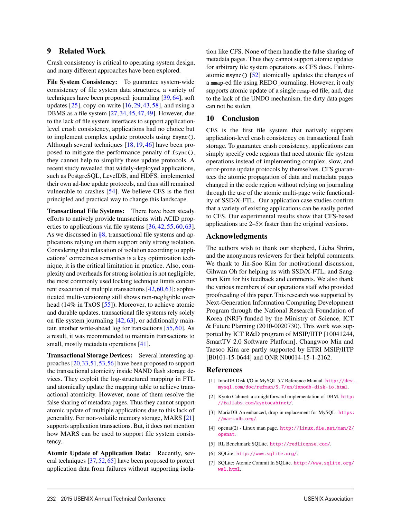#### 9 Related Work

Crash consistency is critical to operating system design, and many different approaches have been explored.

File System Consistency: To guarantee system-wide consistency of file system data structures, a variety of techniques have been proposed: journaling [39, 64], soft updates  $[25]$ , copy-on-write  $[16, 29, 43, 58]$ , and using a DBMS as a file system [27, 34, 45, 47, 49]. However, due to the lack of file system interfaces to support applicationlevel crash consistency, applications had no choice but to implement complex update protocols using fsync(). Although several techniques [18, 19, 46] have been proposed to mitigate the performance penalty of fsync(), they cannot help to simplify these update protocols. A recent study revealed that widely-deployed applications, such as PostgreSQL, LevelDB, and HDFS, implemented their own ad-hoc update protocols, and thus still remained vulnerable to crashes [54]. We believe CFS is the first principled and practical way to change this landscape.

Transactional File Systems: There have been steady efforts to natively provide transactions with ACID properties to applications via file systems [36, 42, 55, 60, 63]. As we discussed in  $\S 8$ , transactional file systems and applications relying on them support only strong isolation. Considering that relaxation of isolation according to applications' correctness semantics is a key optimization technique, it is the critical limitation in practice. Also, complexity and overheads for strong isolation is not negligible; the most commonly used locking technique limits concurrent execution of multiple transactions [42,60,63]; sophisticated multi-versioning still shows non-negligible overhead (14% in TxOS [55]). Moreover, to achieve atomic and durable updates, transactional file systems rely solely on file system journaling  $[42, 63]$ , or additionally maintain another write-ahead log for transactions [55, 60]. As a result, it was recommended to maintain transactions to small, mostly metadata operations [41].

Transactional Storage Devices: Several interesting approaches [20,33,51,53,56] have been proposed to support the transactional atomicity inside NAND flash storage devices. They exploit the log-structured mapping in FTL and atomically update the mapping table to achieve transactional atomicity. However, none of them resolve the false sharing of metadata pages. Thus they cannot support atomic update of multiple applications due to this lack of generality. For non-volatile memory storage, MARS [21] supports application transactions. But, it does not mention how MARS can be used to support file system consistency.

Atomic Update of Application Data: Recently, several techniques [37, 52, 65] have been proposed to protect application data from failures without supporting isolation like CFS. None of them handle the false sharing of metadata pages. Thus they cannot support atomic updates for arbitrary file system operations as CFS does. Failureatomic msync() [52] atomically updates the changes of a mmap-ed file using REDO journaling. However, it only supports atomic update of a single mmap-ed file, and, due to the lack of the UNDO mechanism, the dirty data pages can not be stolen.

#### 10 Conclusion

CFS is the first file system that natively supports application-level crash consistency on transactional flash storage. To guarantee crash consistency, applications can simply specify code regions that need atomic file system operations instead of implementing complex, slow, and error-prone update protocols by themselves. CFS guarantees the atomic propagation of data and metadata pages changed in the code region without relying on journaling through the use of the atomic multi-page write functionality of SSD/X-FTL. Our application case studies confirm that a variety of existing applications can be easily ported to CFS. Our experimental results show that CFS-based applications are 2–5× faster than the original versions.

#### Acknowledgments

The authors wish to thank our shepherd, Liuba Shrira, and the anonymous reviewers for their helpful comments. We thank to Jin-Soo Kim for motivational discussion, Gihwan Oh for helping us with SSD/X-FTL, and Sangman Kim for his feedback and comments. We also thank the various members of our operations staff who provided proofreading of this paper. This research was supported by Next-Generation Information Computing Development Program through the National Research Foundation of Korea (NRF) funded by the Ministry of Science, ICT & Future Planning (2010-0020730). This work was supported by ICT R&D program of MSIP/IITP [10041244, SmartTV 2.0 Software Platform]. Changwoo Min and Taesoo Kim are partly supported by ETRI MSIP/IITP [B0101-15-0644] and ONR N00014-15-1-2162.

#### References

- [1] InnoDB Disk I/O in MySQL 5.7 Reference Manual. http://dev. mysql.com/doc/refman/5.7/en/innodb-disk-io.html.
- [2] Kyoto Cabinet: a straightforward implementation of DBM. http: //fallabs.com/kyotocabinet/.
- [3] MariaDB An enhanced, drop-in replacement for MySQL. https: //mariadb.org/.
- [4] openat(2) Linux man page. http://linux.die.net/man/2/ openat.
- [5] RL Benchmark:SQLite. http://redlicense.com/.
- [6] SQLite. http://www.sqlite.org/.
- [7] SQLite: Atomic Commit In SQLite. http://www.sqlite.org/ wal.html.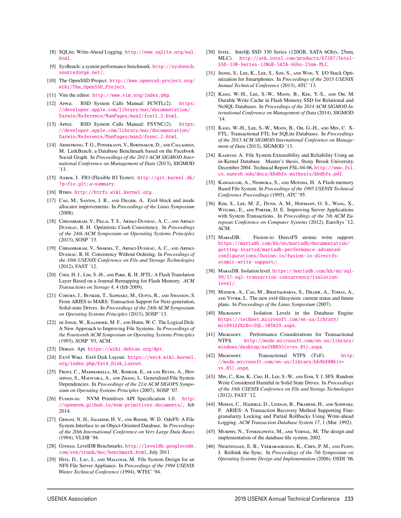- [8] SQLite: Write-Ahead Logging. http://www.sqlite.org/wal. html.
- [9] SysBench: a system performance benchmark. http://sysbench. sourceforge.net/.
- [10] The OpenSSD Project. http://www.openssd-project.org/ wiki/The\_OpenSSD\_Project.
- [11] Vim the editor. http://www.vim.org/index.php.
- [12] Apple. BSD System Calls Manual: FCNTL(2). https: //developer.apple.com/library/mac/documentation/ Darwin/Reference/ManPages/man2/fcntl.2.html.
- [13] Apple. BSD System Calls Manual: FSYNC(2). https: //developer.apple.com/library/mac/documentation/ Darwin/Reference/ManPages/man2/fsync.2.html.
- [14] Armstrong, T. G., Ponnekanti, V., Borthakur, D., and Callaghan, M. LinkBench: a Database Benchmark based on the Facebook Social Graph. In *Proceedings of the 2013 ACM SIGMOD International Conference on Management of Data* (2013), SIGMOD '13.
- [15] Axboe, J. FIO (Flexible IO Tester). http://git.kernel.dk/ ?p=fio.git;a=summary.
- [16] BTRFS. http://btrfs.wiki.kernel.org.
- [17] CAO, M., SANTOS, J. R., AND DILGER, A. Ext4 block and inode allocator improvements. In *Proceedings of the Linux Symposium* (2008).
- [18] CHIDAMBARAM, V., PILLAI, T. S., ARPACI-DUSSEAU, A. C., AND ARPACI-Dusseau, R. H. Optimistic Crash Consistency. In *Proceedings of the 24th ACM Symposium on Operating Systems Principles* (2013), SOSP '13.
- [19] Chidambaram, V., Sharma, T., Arpaci-Dusseau, A. C., and Arpaci-Dusseau, R. H. Consistency Without Ordering. In *Proceedings of the 10th USENIX Conference on File and Storage Technologies* (2012), FAST '12.
- [20] CHOI, H. J., LIM, S.-H., AND PARK, K. H. JFTL: A Flash Translation Layer Based on a Journal Remapping for Flash Memory. *ACM Transactions on Storage 4*, 4 (feb 2009).
- [21] Coburn, J., Bunker, T., Schwarz, M., Gupta, R., and Swanson, S. From ARIES to MARS: Transaction Support for Next-generation, Solid-state Drives. In *Proceedings of the 24th ACM Symposium on Operating Systems Principles* (2013), SOSP '13.
- [22] DE JONGE, W., KAASHOEK, M. F., AND HSIEH, W. C. The Logical Disk: A New Approach to Improving File Systems. In *Proceedings of the Fourteenth ACM Symposium on Operating Systems Principles* (1993), SOSP '93, ACM.
- [23] Debian. Apt. https://wiki.debian.org/Apt.
- [24] Ext4 WIKI. Ext4 Disk Layout. https://ext4.wiki.kernel. org/index.php/Ext4\_Disk\_Layout.
- [25] Frost, C., Mammarella, M., Kohler, E., de los Reyes, A., Hovsepian, S., Matsuoka, A., and Zhang, L. Generalized File System Dependencies. In *Proceedings of the 21st ACM SIGOPS Symposium on Operating Systems Principles* (2007), SOSP '07.
- [26] Fusion-io. NVM Primitives API Specification 1.0. http: //opennvm.github.io/nvm-primitives-documents/, feb 2014.
- [27] GEHANI, N. H., JAGADISH, H. V., AND ROOME, W. D. OdeFS: A File System Interface to an Object-Oriented Database. In *Proceedings of the 20th International Conference on Very Large Data Bases* (1994), VLDB '94.
- [28] Google. LevelDB Benchmarks. http://leveldb.googlecode. com/svn/trunk/doc/benchmark.html, July 2011.
- [29] HITz, D., LAU, J., AND MALCOLM, M. File System Design for an NFS File Server Appliance. In *Proceedings of the 1994 USENIX Winter Technical Conference* (1994), WTEC '94.

- [30] INTEL. Intel® SSD 330 Series (120GB, SATA 6Gb/s, 25nm, MLC). http://ark.intel.com/products/67287/Intel-SSD-330-Series-120GB-SATA-6Gbs-25nm-MLC.
- [31] Jeong, S., Lee, K., Lee, S., Son, S., and Won, Y. I/O Stack Optimization for Smartphones. In *Proceedings of the 2013 USENIX Annual Technical Conference* (2013), ATC '13.
- [32] Kang, W.-H., Lee, S.-W., Moon, B., Kee, Y.-S., and Oh, M. Durable Write Cache in Flash Memory SSD for Relational and NoSQL Databases. In *Proceedings of the 2014 ACM SIGMOD International Conference on Management of Data* (2014), SIGMOD '14.
- [33] Kang, W.-H., Lee, S.-W., Moon, B., Oh, G.-H., and Min, C. X-FTL: Transactional FTL for SQLite Databases. In *Proceedings of the 2013 ACM SIGMOD International Conference on Management of Data* (2013), SIGMOD '13.
- [34] Kashyap, A. File System Extensibility and Reliability Using an in-Kernel Database. Master's thesis, Stony Brook University, December 2004. Technical Report FSL-04-06, http://www.fsl. cs.sunysb.edu/docs/kbdbfs-msthesis/kbdbfs.pdf.
- [35] KAWAGUCHI, A., NISHIOKA, S., AND MOTODA, H. A Flash-memory Based File System. In *Proceedings of the 1995 USENIX Technical Conference Proceedings* (1995), ATC '95.
- [36] KIM, S., LEE, M. Z., DUNN, A. M., HOFMANN, O. S., WANG, X., Witchel, E., and Porter, D. E. Improving Server Applications with System Transactions. In *Proceedings of the 7th ACM European Conference on Computer Systems* (2012), EuroSys '12, ACM.
- [37] MariaDB. Fusion-io DirectFS atomic write support. https://mariadb.com/kb/en/mariadb/documentation/ getting-started/mariadb-performance-advancedconfigurations/fusion-io/fusion-io-directfsatomic-write-support/.
- [38] MariaDB. Isolation level. https://mariadb.com/kb/en/sql-99/37-sql-transaction-concurrency/isolationlevel/.
- [39] Mathur, A., Cao, M., Bhattacharya, S., Dilger, A., Tomas, A., and Vivier, L. The new ext4 filesystem: current status and future plans. In *Proceedings of the Linux Symposium* (2007).
- [40] Microsoft. Isolation Levels in the Database Engine. https://technet.microsoft.com/en-us/library/ ms189122%28v=SQL.105%29.aspx.
- [41] MICROSOFT. Performance Considerations for Transactional NTFS. http://msdn.microsoft.com/en-us/library/ windows/desktop/ee240893(v=vs.85).aspx.
- [42] MICROSOFT. Transactional NTFS (TxF). http: //msdn.microsoft.com/en-us/library/bb968806(v= vs.85).aspx.
- [43] M<sub>IN</sub>, C., K<sub>IM</sub>, K., C<sub>HO</sub>, H., Lee, S.-W., AND EOM, Y. I. SFS: Random Write Considered Harmful in Solid State Drives. In *Proceedings of the 10th USENIX Conference on File and Storage Technologies* (2012), FAST '12.
- [44] MOHAN, C., HADERLE, D., LINDSAY, B., PIRAHESH, H., AND SCHWARZ, P. ARIES: A Transaction Recovery Method Supporting Finegranularity Locking and Partial Rollbacks Using Write-ahead Logging. *ACM Transaction Database System 17*, 1 (Mar. 1992).
- [45] MURPHY, N., TONKELOWITZ, M., AND VERNAL, M. The design and implementation of the database file system, 2002.
- [46] Nightingale, E. B., Veeraraghavan, K., Chen, P. M., and Flinn, J. Rethink the Sync. In *Proceedings of the 7th Symposium on Operating Systems Design and Implementation* (2006), OSDI '06.